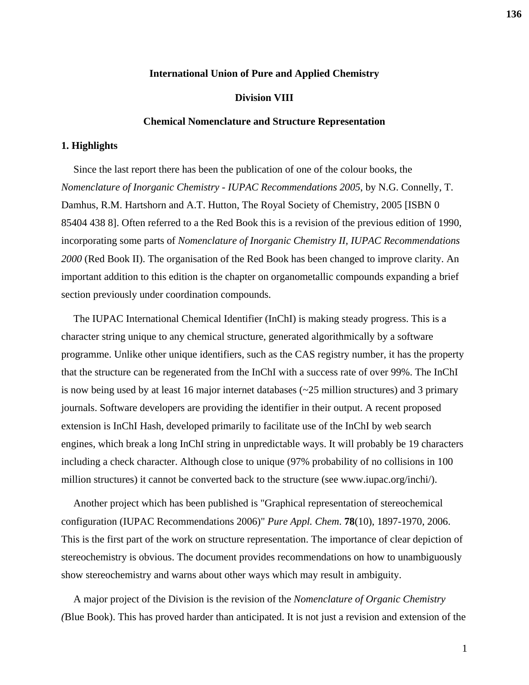### **International Union of Pure and Applied Chemistry**

### **Division VIII**

#### **Chemical Nomenclature and Structure Representation**

#### **1. Highlights**

Since the last report there has been the publication of one of the colour books, the *Nomenclature of Inorganic Chemistry - IUPAC Recommendations 2005*, by N.G. Connelly, T. Damhus, R.M. Hartshorn and A.T. Hutton, The Royal Society of Chemistry, 2005 [ISBN 0 85404 438 8]. Often referred to a the Red Book this is a revision of the previous edition of 1990, incorporating some parts of *Nomenclature of Inorganic Chemistry II, IUPAC Recommendations 2000* (Red Book II). The organisation of the Red Book has been changed to improve clarity. An important addition to this edition is the chapter on organometallic compounds expanding a brief section previously under coordination compounds.

The IUPAC International Chemical Identifier (InChI) is making steady progress. This is a character string unique to any chemical structure, generated algorithmically by a software programme. Unlike other unique identifiers, such as the CAS registry number, it has the property that the structure can be regenerated from the InChI with a success rate of over 99%. The InChI is now being used by at least 16 major internet databases (~25 million structures) and 3 primary journals. Software developers are providing the identifier in their output. A recent proposed extension is InChI Hash, developed primarily to facilitate use of the InChI by web search engines, which break a long InChI string in unpredictable ways. It will probably be 19 characters including a check character. Although close to unique (97% probability of no collisions in 100 million structures) it cannot be converted back to the structure (see www.iupac.org/inchi/).

Another project which has been published is "Graphical representation of stereochemical configuration (IUPAC Recommendations 2006)" *Pure Appl. Chem*. **78**(10), 1897-1970, 2006. This is the first part of the work on structure representation. The importance of clear depiction of stereochemistry is obvious. The document provides recommendations on how to unambiguously show stereochemistry and warns about other ways which may result in ambiguity.

A major project of the Division is the revision of the *Nomenclature of Organic Chemistry (*Blue Book). This has proved harder than anticipated. It is not just a revision and extension of the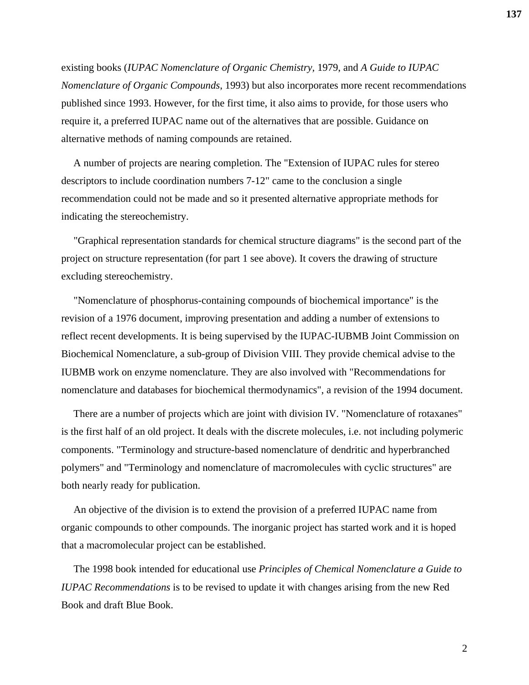existing books (*IUPAC Nomenclature of Organic Chemistry,* 1979, and *A Guide to IUPAC Nomenclature of Organic Compounds*, 1993) but also incorporates more recent recommendations published since 1993. However, for the first time, it also aims to provide, for those users who require it, a preferred IUPAC name out of the alternatives that are possible. Guidance on alternative methods of naming compounds are retained.

A number of projects are nearing completion. The "Extension of IUPAC rules for stereo descriptors to include coordination numbers 7-12" came to the conclusion a single recommendation could not be made and so it presented alternative appropriate methods for indicating the stereochemistry.

"Graphical representation standards for chemical structure diagrams" is the second part of the project on structure representation (for part 1 see above). It covers the drawing of structure excluding stereochemistry.

"Nomenclature of phosphorus-containing compounds of biochemical importance" is the revision of a 1976 document, improving presentation and adding a number of extensions to reflect recent developments. It is being supervised by the IUPAC-IUBMB Joint Commission on Biochemical Nomenclature, a sub-group of Division VIII. They provide chemical advise to the IUBMB work on enzyme nomenclature. They are also involved with "Recommendations for nomenclature and databases for biochemical thermodynamics", a revision of the 1994 document.

There are a number of projects which are joint with division IV. "Nomenclature of rotaxanes" is the first half of an old project. It deals with the discrete molecules, i.e. not including polymeric components. "Terminology and structure-based nomenclature of dendritic and hyperbranched polymers" and "Terminology and nomenclature of macromolecules with cyclic structures" are both nearly ready for publication.

An objective of the division is to extend the provision of a preferred IUPAC name from organic compounds to other compounds. The inorganic project has started work and it is hoped that a macromolecular project can be established.

The 1998 book intended for educational use *Principles of Chemical Nomenclature a Guide to IUPAC Recommendations* is to be revised to update it with changes arising from the new Red Book and draft Blue Book.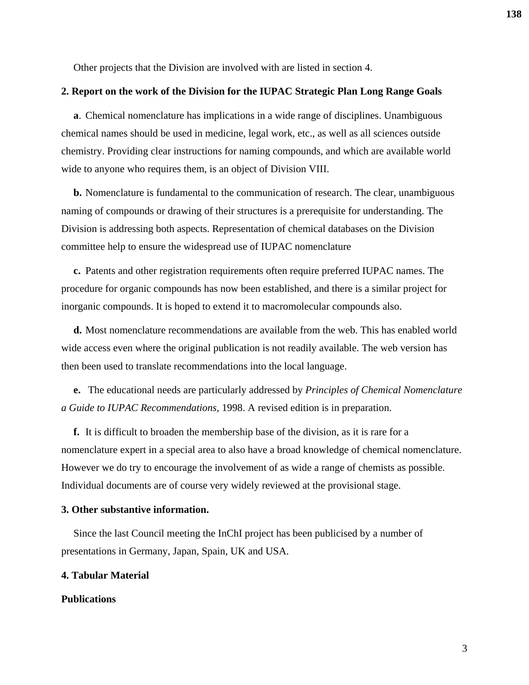Other projects that the Division are involved with are listed in section 4.

#### **2. Report on the work of the Division for the IUPAC Strategic Plan Long Range Goals**

**a**. Chemical nomenclature has implications in a wide range of disciplines. Unambiguous chemical names should be used in medicine, legal work, etc., as well as all sciences outside chemistry. Providing clear instructions for naming compounds, and which are available world wide to anyone who requires them, is an object of Division VIII.

**b.** Nomenclature is fundamental to the communication of research. The clear, unambiguous naming of compounds or drawing of their structures is a prerequisite for understanding. The Division is addressing both aspects. Representation of chemical databases on the Division committee help to ensure the widespread use of IUPAC nomenclature

**c.** Patents and other registration requirements often require preferred IUPAC names. The procedure for organic compounds has now been established, and there is a similar project for inorganic compounds. It is hoped to extend it to macromolecular compounds also.

**d.** Most nomenclature recommendations are available from the web. This has enabled world wide access even where the original publication is not readily available. The web version has then been used to translate recommendations into the local language.

**e.** The educational needs are particularly addressed by *Principles of Chemical Nomenclature a Guide to IUPAC Recommendations,* 1998. A revised edition is in preparation.

**f.** It is difficult to broaden the membership base of the division, as it is rare for a nomenclature expert in a special area to also have a broad knowledge of chemical nomenclature. However we do try to encourage the involvement of as wide a range of chemists as possible. Individual documents are of course very widely reviewed at the provisional stage.

## **3. Other substantive information.**

Since the last Council meeting the InChI project has been publicised by a number of presentations in Germany, Japan, Spain, UK and USA.

## **4. Tabular Material**

# **Publications**